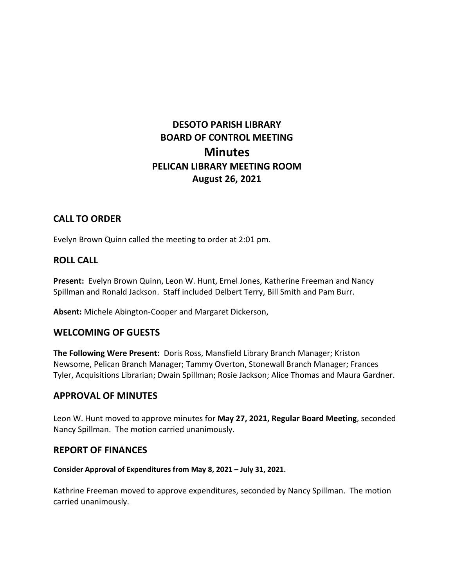# **DESOTO PARISH LIBRARY BOARD OF CONTROL MEETING Minutes PELICAN LIBRARY MEETING ROOM August 26, 2021**

## **CALL TO ORDER**

Evelyn Brown Quinn called the meeting to order at 2:01 pm.

### **ROLL CALL**

**Present:** Evelyn Brown Quinn, Leon W. Hunt, Ernel Jones, Katherine Freeman and Nancy Spillman and Ronald Jackson. Staff included Delbert Terry, Bill Smith and Pam Burr.

**Absent:** Michele Abington-Cooper and Margaret Dickerson,

#### **WELCOMING OF GUESTS**

**The Following Were Present:** Doris Ross, Mansfield Library Branch Manager; Kriston Newsome, Pelican Branch Manager; Tammy Overton, Stonewall Branch Manager; Frances Tyler, Acquisitions Librarian; Dwain Spillman; Rosie Jackson; Alice Thomas and Maura Gardner.

#### **APPROVAL OF MINUTES**

Leon W. Hunt moved to approve minutes for **May 27, 2021, Regular Board Meeting**, seconded Nancy Spillman. The motion carried unanimously.

#### **REPORT OF FINANCES**

#### **Consider Approval of Expenditures from May 8, 2021 – July 31, 2021.**

Kathrine Freeman moved to approve expenditures, seconded by Nancy Spillman. The motion carried unanimously.